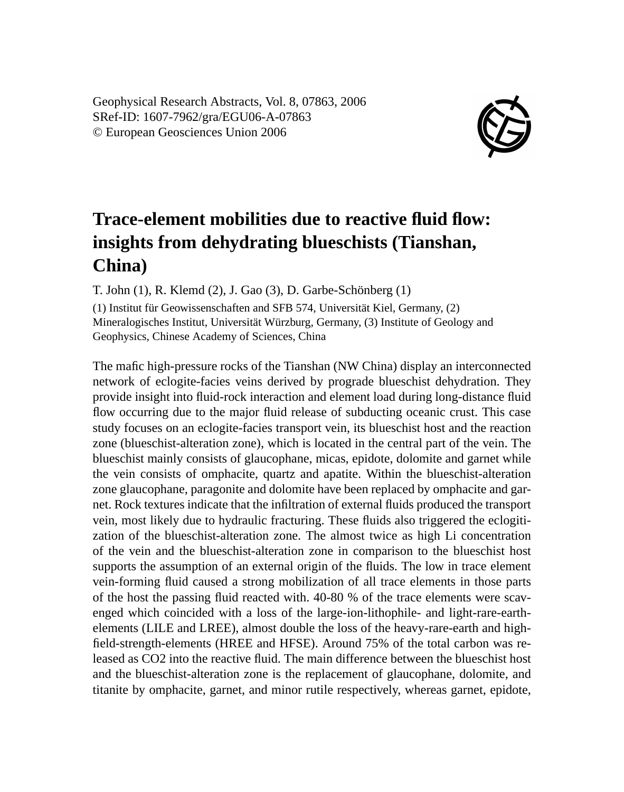Geophysical Research Abstracts, Vol. 8, 07863, 2006 SRef-ID: 1607-7962/gra/EGU06-A-07863 © European Geosciences Union 2006



## **Trace-element mobilities due to reactive fluid flow: insights from dehydrating blueschists (Tianshan, China)**

T. John (1), R. Klemd (2), J. Gao (3), D. Garbe-Schönberg (1)

(1) Institut für Geowissenschaften and SFB 574, Universität Kiel, Germany, (2) Mineralogisches Institut, Universität Würzburg, Germany, (3) Institute of Geology and Geophysics, Chinese Academy of Sciences, China

The mafic high-pressure rocks of the Tianshan (NW China) display an interconnected network of eclogite-facies veins derived by prograde blueschist dehydration. They provide insight into fluid-rock interaction and element load during long-distance fluid flow occurring due to the major fluid release of subducting oceanic crust. This case study focuses on an eclogite-facies transport vein, its blueschist host and the reaction zone (blueschist-alteration zone), which is located in the central part of the vein. The blueschist mainly consists of glaucophane, micas, epidote, dolomite and garnet while the vein consists of omphacite, quartz and apatite. Within the blueschist-alteration zone glaucophane, paragonite and dolomite have been replaced by omphacite and garnet. Rock textures indicate that the infiltration of external fluids produced the transport vein, most likely due to hydraulic fracturing. These fluids also triggered the eclogitization of the blueschist-alteration zone. The almost twice as high Li concentration of the vein and the blueschist-alteration zone in comparison to the blueschist host supports the assumption of an external origin of the fluids. The low in trace element vein-forming fluid caused a strong mobilization of all trace elements in those parts of the host the passing fluid reacted with. 40-80 % of the trace elements were scavenged which coincided with a loss of the large-ion-lithophile- and light-rare-earthelements (LILE and LREE), almost double the loss of the heavy-rare-earth and highfield-strength-elements (HREE and HFSE). Around 75% of the total carbon was released as CO2 into the reactive fluid. The main difference between the blueschist host and the blueschist-alteration zone is the replacement of glaucophane, dolomite, and titanite by omphacite, garnet, and minor rutile respectively, whereas garnet, epidote,